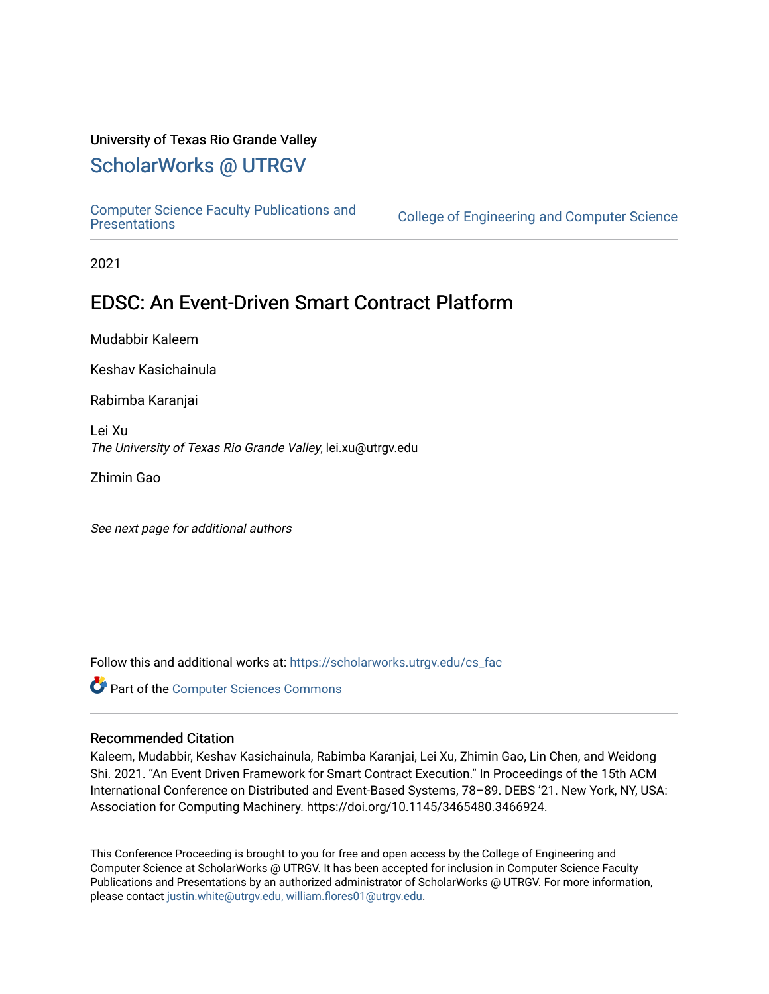### University of Texas Rio Grande Valley

## [ScholarWorks @ UTRGV](https://scholarworks.utrgv.edu/)

[Computer Science Faculty Publications and](https://scholarworks.utrgv.edu/cs_fac) 

College of Engineering and Computer Science

2021

## EDSC: An Event-Driven Smart Contract Platform

Mudabbir Kaleem

Keshav Kasichainula

Rabimba Karanjai

Lei Xu The University of Texas Rio Grande Valley, lei.xu@utrgv.edu

Zhimin Gao

See next page for additional authors

Follow this and additional works at: [https://scholarworks.utrgv.edu/cs\\_fac](https://scholarworks.utrgv.edu/cs_fac?utm_source=scholarworks.utrgv.edu%2Fcs_fac%2F68&utm_medium=PDF&utm_campaign=PDFCoverPages) 

**Part of the [Computer Sciences Commons](http://network.bepress.com/hgg/discipline/142?utm_source=scholarworks.utrgv.edu%2Fcs_fac%2F68&utm_medium=PDF&utm_campaign=PDFCoverPages)** 

#### Recommended Citation

Kaleem, Mudabbir, Keshav Kasichainula, Rabimba Karanjai, Lei Xu, Zhimin Gao, Lin Chen, and Weidong Shi. 2021. "An Event Driven Framework for Smart Contract Execution." In Proceedings of the 15th ACM International Conference on Distributed and Event-Based Systems, 78–89. DEBS '21. New York, NY, USA: Association for Computing Machinery. https://doi.org/10.1145/3465480.3466924.

This Conference Proceeding is brought to you for free and open access by the College of Engineering and Computer Science at ScholarWorks @ UTRGV. It has been accepted for inclusion in Computer Science Faculty Publications and Presentations by an authorized administrator of ScholarWorks @ UTRGV. For more information, please contact [justin.white@utrgv.edu, william.flores01@utrgv.edu](mailto:justin.white@utrgv.edu,%20william.flores01@utrgv.edu).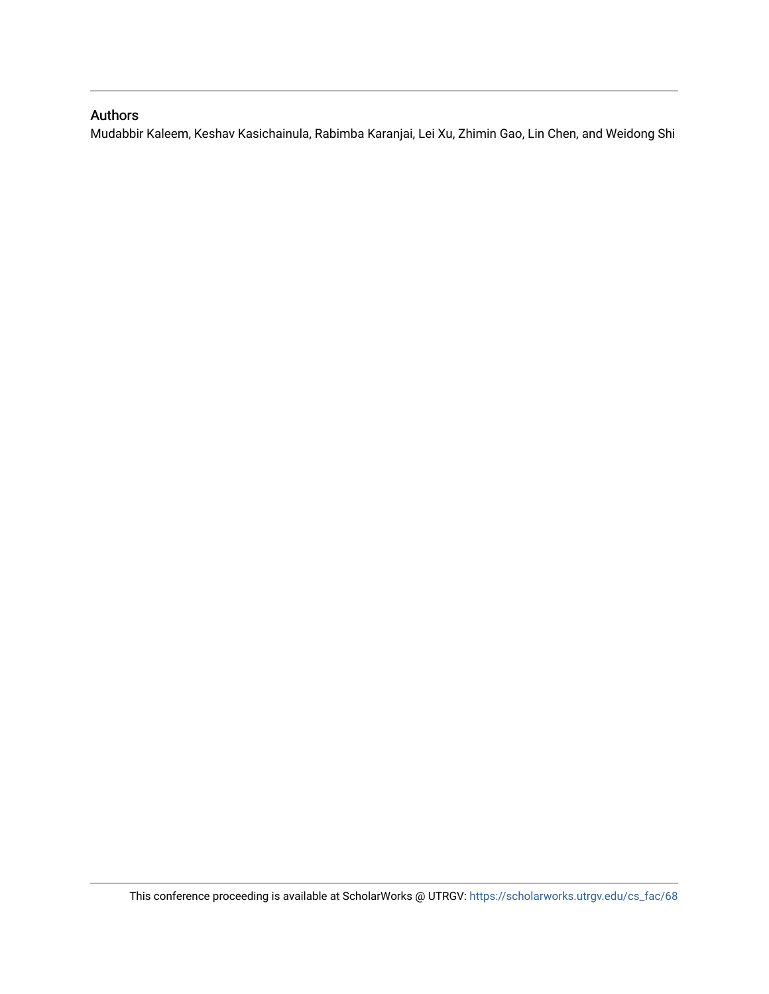## Authors

Mudabbir Kaleem, Keshav Kasichainula, Rabimba Karanjai, Lei Xu, Zhimin Gao, Lin Chen, and Weidong Shi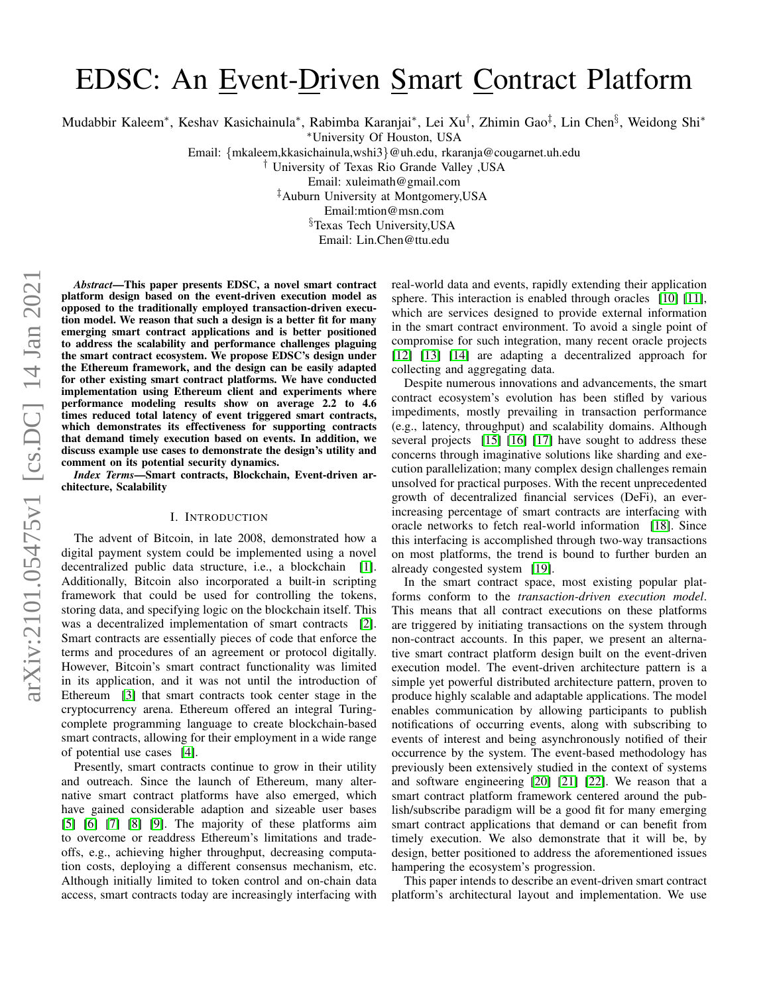# EDSC: An Event-Driven Smart Contract Platform

Mudabbir Kaleem\*, Keshav Kasichainula\*, Rabimba Karanjai\*, Lei Xu<sup>†</sup>, Zhimin Gao<sup>‡</sup>, Lin Chen<sup>§</sup>, Weidong Shi\*

<sup>∗</sup>University Of Houston, USA

Email: {mkaleem,kkasichainula,wshi3}@uh.edu, rkaranja@cougarnet.uh.edu

† University of Texas Rio Grande Valley ,USA

Email: xuleimath@gmail.com

‡Auburn University at Montgomery,USA

Email:mtion@msn.com

§Texas Tech University,USA

Email: Lin.Chen@ttu.edu

*Abstract*—This paper presents EDSC, a novel smart contract platform design based on the event-driven execution model as opposed to the traditionally employed transaction-driven execution model. We reason that such a design is a better fit for many emerging smart contract applications and is better positioned to address the scalability and performance challenges plaguing the smart contract ecosystem. We propose EDSC's design under the Ethereum framework, and the design can be easily adapted for other existing smart contract platforms. We have conducted implementation using Ethereum client and experiments where performance modeling results show on average 2.2 to 4.6 times reduced total latency of event triggered smart contracts, which demonstrates its effectiveness for supporting contracts that demand timely execution based on events. In addition, we discuss example use cases to demonstrate the design's utility and comment on its potential security dynamics.

*Index Terms*—Smart contracts, Blockchain, Event-driven architecture, Scalability

#### I. INTRODUCTION

The advent of Bitcoin, in late 2008, demonstrated how a digital payment system could be implemented using a novel decentralized public data structure, i.e., a blockchain [\[1\]](#page-12-0). Additionally, Bitcoin also incorporated a built-in scripting framework that could be used for controlling the tokens, storing data, and specifying logic on the blockchain itself. This was a decentralized implementation of smart contracts [\[2\]](#page-12-1). Smart contracts are essentially pieces of code that enforce the terms and procedures of an agreement or protocol digitally. However, Bitcoin's smart contract functionality was limited in its application, and it was not until the introduction of Ethereum [\[3\]](#page-12-2) that smart contracts took center stage in the cryptocurrency arena. Ethereum offered an integral Turingcomplete programming language to create blockchain-based smart contracts, allowing for their employment in a wide range of potential use cases [\[4\]](#page-12-3).

Presently, smart contracts continue to grow in their utility and outreach. Since the launch of Ethereum, many alternative smart contract platforms have also emerged, which have gained considerable adaption and sizeable user bases [\[5\]](#page-12-4) [\[6\]](#page-12-5) [\[7\]](#page-12-6) [\[8\]](#page-12-7) [\[9\]](#page-12-8). The majority of these platforms aim to overcome or readdress Ethereum's limitations and tradeoffs, e.g., achieving higher throughput, decreasing computation costs, deploying a different consensus mechanism, etc. Although initially limited to token control and on-chain data access, smart contracts today are increasingly interfacing with

real-world data and events, rapidly extending their application sphere. This interaction is enabled through oracles [\[10\]](#page-12-9) [\[11\]](#page-12-10), which are services designed to provide external information in the smart contract environment. To avoid a single point of compromise for such integration, many recent oracle projects [\[12\]](#page-12-11) [\[13\]](#page-12-12) [\[14\]](#page-12-13) are adapting a decentralized approach for collecting and aggregating data.

Despite numerous innovations and advancements, the smart contract ecosystem's evolution has been stifled by various impediments, mostly prevailing in transaction performance (e.g., latency, throughput) and scalability domains. Although several projects [\[15\]](#page-12-14) [\[16\]](#page-12-15) [\[17\]](#page-12-16) have sought to address these concerns through imaginative solutions like sharding and execution parallelization; many complex design challenges remain unsolved for practical purposes. With the recent unprecedented growth of decentralized financial services (DeFi), an everincreasing percentage of smart contracts are interfacing with oracle networks to fetch real-world information [\[18\]](#page-12-17). Since this interfacing is accomplished through two-way transactions on most platforms, the trend is bound to further burden an already congested system [\[19\]](#page-12-18).

In the smart contract space, most existing popular platforms conform to the *transaction-driven execution model*. This means that all contract executions on these platforms are triggered by initiating transactions on the system through non-contract accounts. In this paper, we present an alternative smart contract platform design built on the event-driven execution model. The event-driven architecture pattern is a simple yet powerful distributed architecture pattern, proven to produce highly scalable and adaptable applications. The model enables communication by allowing participants to publish notifications of occurring events, along with subscribing to events of interest and being asynchronously notified of their occurrence by the system. The event-based methodology has previously been extensively studied in the context of systems and software engineering [\[20\]](#page-12-19) [\[21\]](#page-12-20) [\[22\]](#page-12-21). We reason that a smart contract platform framework centered around the publish/subscribe paradigm will be a good fit for many emerging smart contract applications that demand or can benefit from timely execution. We also demonstrate that it will be, by design, better positioned to address the aforementioned issues hampering the ecosystem's progression.

This paper intends to describe an event-driven smart contract platform's architectural layout and implementation. We use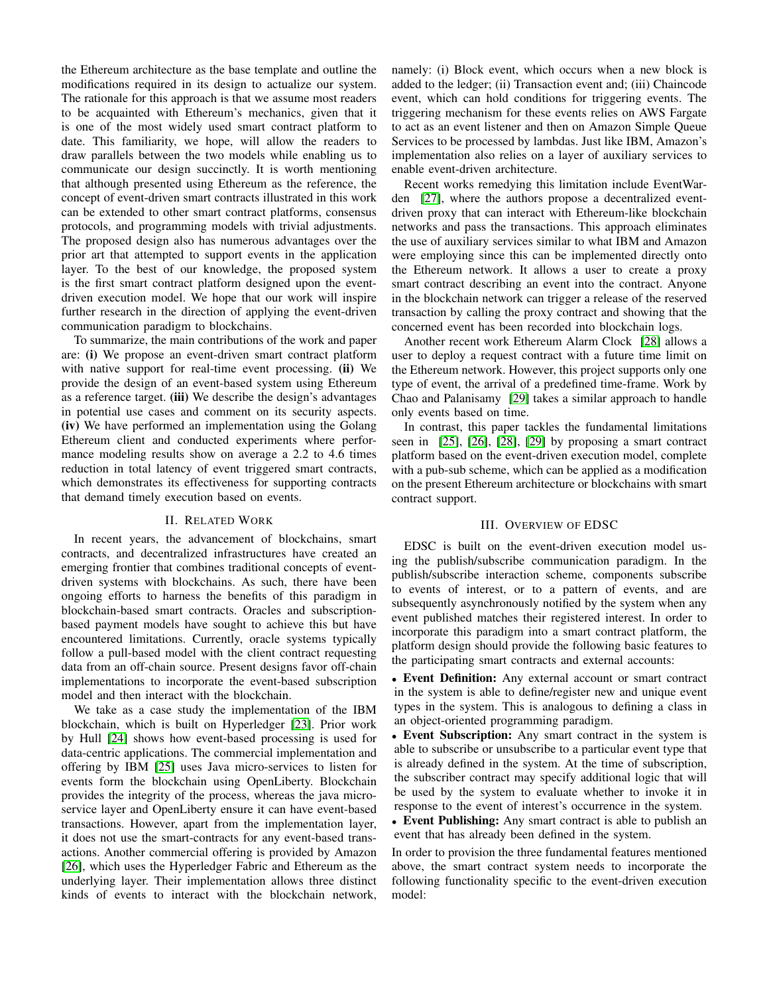the Ethereum architecture as the base template and outline the modifications required in its design to actualize our system. The rationale for this approach is that we assume most readers to be acquainted with Ethereum's mechanics, given that it is one of the most widely used smart contract platform to date. This familiarity, we hope, will allow the readers to draw parallels between the two models while enabling us to communicate our design succinctly. It is worth mentioning that although presented using Ethereum as the reference, the concept of event-driven smart contracts illustrated in this work can be extended to other smart contract platforms, consensus protocols, and programming models with trivial adjustments. The proposed design also has numerous advantages over the prior art that attempted to support events in the application layer. To the best of our knowledge, the proposed system is the first smart contract platform designed upon the eventdriven execution model. We hope that our work will inspire further research in the direction of applying the event-driven communication paradigm to blockchains.

To summarize, the main contributions of the work and paper are: (i) We propose an event-driven smart contract platform with native support for real-time event processing. (ii) We provide the design of an event-based system using Ethereum as a reference target. (iii) We describe the design's advantages in potential use cases and comment on its security aspects. (iv) We have performed an implementation using the Golang Ethereum client and conducted experiments where performance modeling results show on average a 2.2 to 4.6 times reduction in total latency of event triggered smart contracts, which demonstrates its effectiveness for supporting contracts that demand timely execution based on events.

#### II. RELATED WORK

In recent years, the advancement of blockchains, smart contracts, and decentralized infrastructures have created an emerging frontier that combines traditional concepts of eventdriven systems with blockchains. As such, there have been ongoing efforts to harness the benefits of this paradigm in blockchain-based smart contracts. Oracles and subscriptionbased payment models have sought to achieve this but have encountered limitations. Currently, oracle systems typically follow a pull-based model with the client contract requesting data from an off-chain source. Present designs favor off-chain implementations to incorporate the event-based subscription model and then interact with the blockchain.

We take as a case study the implementation of the IBM blockchain, which is built on Hyperledger [\[23\]](#page-12-22). Prior work by Hull [\[24\]](#page-12-23) shows how event-based processing is used for data-centric applications. The commercial implementation and offering by IBM [\[25\]](#page-12-24) uses Java micro-services to listen for events form the blockchain using OpenLiberty. Blockchain provides the integrity of the process, whereas the java microservice layer and OpenLiberty ensure it can have event-based transactions. However, apart from the implementation layer, it does not use the smart-contracts for any event-based transactions. Another commercial offering is provided by Amazon [\[26\]](#page-12-25), which uses the Hyperledger Fabric and Ethereum as the underlying layer. Their implementation allows three distinct kinds of events to interact with the blockchain network,

namely: (i) Block event, which occurs when a new block is added to the ledger; (ii) Transaction event and; (iii) Chaincode event, which can hold conditions for triggering events. The triggering mechanism for these events relies on AWS Fargate to act as an event listener and then on Amazon Simple Queue Services to be processed by lambdas. Just like IBM, Amazon's implementation also relies on a layer of auxiliary services to enable event-driven architecture.

Recent works remedying this limitation include EventWarden [\[27\]](#page-12-26), where the authors propose a decentralized eventdriven proxy that can interact with Ethereum-like blockchain networks and pass the transactions. This approach eliminates the use of auxiliary services similar to what IBM and Amazon were employing since this can be implemented directly onto the Ethereum network. It allows a user to create a proxy smart contract describing an event into the contract. Anyone in the blockchain network can trigger a release of the reserved transaction by calling the proxy contract and showing that the concerned event has been recorded into blockchain logs.

Another recent work Ethereum Alarm Clock [\[28\]](#page-12-27) allows a user to deploy a request contract with a future time limit on the Ethereum network. However, this project supports only one type of event, the arrival of a predefined time-frame. Work by Chao and Palanisamy [\[29\]](#page-12-28) takes a similar approach to handle only events based on time.

In contrast, this paper tackles the fundamental limitations seen in [\[25\]](#page-12-24), [\[26\]](#page-12-25), [\[28\]](#page-12-27), [\[29\]](#page-12-28) by proposing a smart contract platform based on the event-driven execution model, complete with a pub-sub scheme, which can be applied as a modification on the present Ethereum architecture or blockchains with smart contract support.

#### III. OVERVIEW OF EDSC

<span id="page-3-0"></span>EDSC is built on the event-driven execution model using the publish/subscribe communication paradigm. In the publish/subscribe interaction scheme, components subscribe to events of interest, or to a pattern of events, and are subsequently asynchronously notified by the system when any event published matches their registered interest. In order to incorporate this paradigm into a smart contract platform, the platform design should provide the following basic features to the participating smart contracts and external accounts:

• Event Definition: Any external account or smart contract in the system is able to define/register new and unique event types in the system. This is analogous to defining a class in an object-oriented programming paradigm.

• Event Subscription: Any smart contract in the system is able to subscribe or unsubscribe to a particular event type that is already defined in the system. At the time of subscription, the subscriber contract may specify additional logic that will be used by the system to evaluate whether to invoke it in response to the event of interest's occurrence in the system.

• Event Publishing: Any smart contract is able to publish an event that has already been defined in the system.

In order to provision the three fundamental features mentioned above, the smart contract system needs to incorporate the following functionality specific to the event-driven execution model: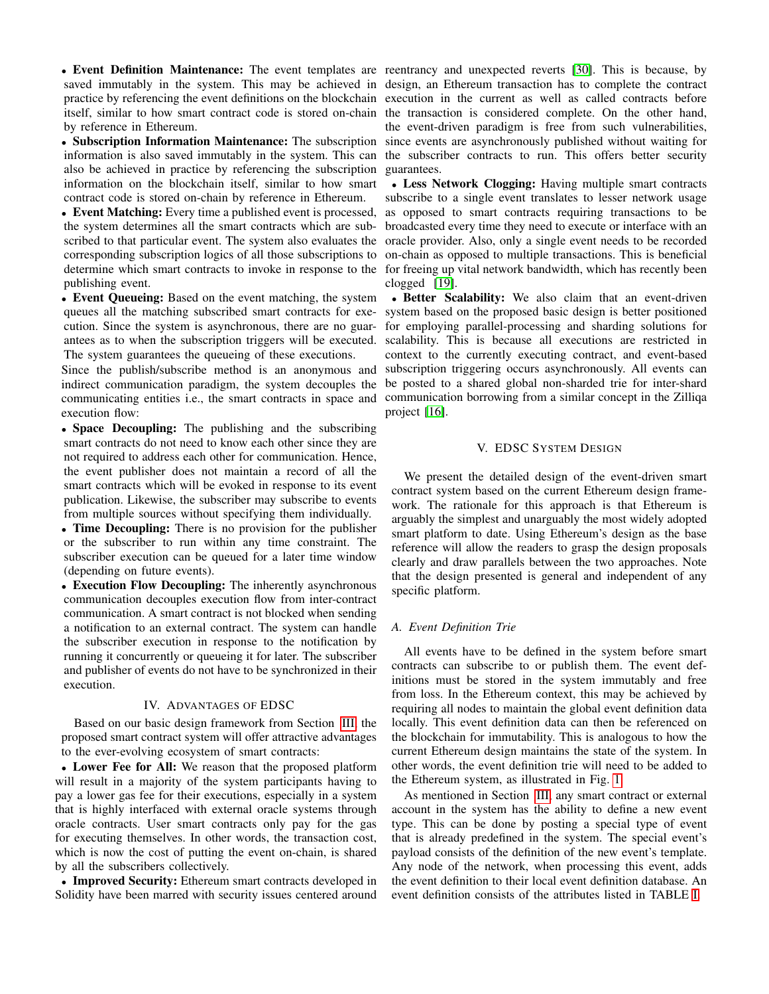by reference in Ethereum.

also be achieved in practice by referencing the subscription information on the blockchain itself, similar to how smart contract code is stored on-chain by reference in Ethereum.

• Event Matching: Every time a published event is processed, the system determines all the smart contracts which are subpublishing event.

• Event Queueing: Based on the event matching, the system queues all the matching subscribed smart contracts for execution. Since the system is asynchronous, there are no guarantees as to when the subscription triggers will be executed. The system guarantees the queueing of these executions.

Since the publish/subscribe method is an anonymous and indirect communication paradigm, the system decouples the communicating entities i.e., the smart contracts in space and execution flow:

• Space Decoupling: The publishing and the subscribing smart contracts do not need to know each other since they are not required to address each other for communication. Hence, the event publisher does not maintain a record of all the smart contracts which will be evoked in response to its event publication. Likewise, the subscriber may subscribe to events from multiple sources without specifying them individually.

• Time Decoupling: There is no provision for the publisher or the subscriber to run within any time constraint. The subscriber execution can be queued for a later time window (depending on future events).

• Execution Flow Decoupling: The inherently asynchronous communication decouples execution flow from inter-contract communication. A smart contract is not blocked when sending a notification to an external contract. The system can handle the subscriber execution in response to the notification by running it concurrently or queueing it for later. The subscriber and publisher of events do not have to be synchronized in their execution.

#### IV. ADVANTAGES OF EDSC

Based on our basic design framework from Section [III,](#page-3-0) the proposed smart contract system will offer attractive advantages to the ever-evolving ecosystem of smart contracts:

• Lower Fee for All: We reason that the proposed platform will result in a majority of the system participants having to pay a lower gas fee for their executions, especially in a system that is highly interfaced with external oracle systems through oracle contracts. User smart contracts only pay for the gas for executing themselves. In other words, the transaction cost, which is now the cost of putting the event on-chain, is shared by all the subscribers collectively.

• Improved Security: Ethereum smart contracts developed in Solidity have been marred with security issues centered around

• Event Definition Maintenance: The event templates are reentrancy and unexpected reverts [\[30\]](#page-12-29). This is because, by saved immutably in the system. This may be achieved in design, an Ethereum transaction has to complete the contract practice by referencing the event definitions on the blockchain execution in the current as well as called contracts before itself, similar to how smart contract code is stored on-chain the transaction is considered complete. On the other hand, • Subscription Information Maintenance: The subscription since events are asynchronously published without waiting for information is also saved immutably in the system. This can the subscriber contracts to run. This offers better security the event-driven paradigm is free from such vulnerabilities, guarantees.

scribed to that particular event. The system also evaluates the oracle provider. Also, only a single event needs to be recorded corresponding subscription logics of all those subscriptions to on-chain as opposed to multiple transactions. This is beneficial determine which smart contracts to invoke in response to the for freeing up vital network bandwidth, which has recently been • Less Network Clogging: Having multiple smart contracts subscribe to a single event translates to lesser network usage as opposed to smart contracts requiring transactions to be broadcasted every time they need to execute or interface with an clogged [\[19\]](#page-12-18).

> • Better Scalability: We also claim that an event-driven system based on the proposed basic design is better positioned for employing parallel-processing and sharding solutions for scalability. This is because all executions are restricted in context to the currently executing contract, and event-based subscription triggering occurs asynchronously. All events can be posted to a shared global non-sharded trie for inter-shard communication borrowing from a similar concept in the Zilliqa project [\[16\]](#page-12-15).

#### V. EDSC SYSTEM DESIGN

We present the detailed design of the event-driven smart contract system based on the current Ethereum design framework. The rationale for this approach is that Ethereum is arguably the simplest and unarguably the most widely adopted smart platform to date. Using Ethereum's design as the base reference will allow the readers to grasp the design proposals clearly and draw parallels between the two approaches. Note that the design presented is general and independent of any specific platform.

#### *A. Event Definition Trie*

All events have to be defined in the system before smart contracts can subscribe to or publish them. The event definitions must be stored in the system immutably and free from loss. In the Ethereum context, this may be achieved by requiring all nodes to maintain the global event definition data locally. This event definition data can then be referenced on the blockchain for immutability. This is analogous to how the current Ethereum design maintains the state of the system. In other words, the event definition trie will need to be added to the Ethereum system, as illustrated in Fig. [1.](#page-5-0)

As mentioned in Section [III,](#page-3-0) any smart contract or external account in the system has the ability to define a new event type. This can be done by posting a special type of event that is already predefined in the system. The special event's payload consists of the definition of the new event's template. Any node of the network, when processing this event, adds the event definition to their local event definition database. An event definition consists of the attributes listed in TABLE [I.](#page-5-1)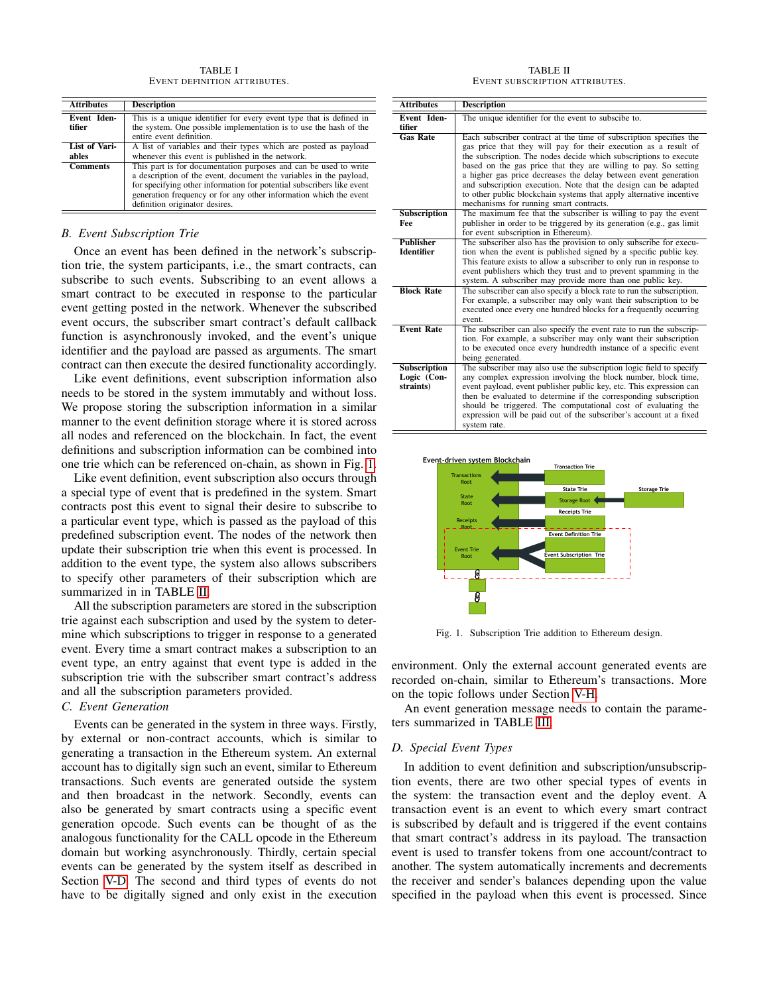TABLE I EVENT DEFINITION ATTRIBUTES.

<span id="page-5-1"></span>

| <b>Attributes</b>            | <b>Description</b>                                                                                                                                                                                                                                                                                                     |  |
|------------------------------|------------------------------------------------------------------------------------------------------------------------------------------------------------------------------------------------------------------------------------------------------------------------------------------------------------------------|--|
| <b>Event Iden-</b><br>tifier | This is a unique identifier for every event type that is defined in<br>the system. One possible implementation is to use the hash of the<br>entire event definition.                                                                                                                                                   |  |
| List of Vari-<br>ables       | A list of variables and their types which are posted as payload<br>whenever this event is published in the network.                                                                                                                                                                                                    |  |
| <b>Comments</b>              | This part is for documentation purposes and can be used to write<br>a description of the event, document the variables in the payload,<br>for specifying other information for potential subscribers like event<br>generation frequency or for any other information which the event<br>definition originator desires. |  |

#### *B. Event Subscription Trie*

Once an event has been defined in the network's subscription trie, the system participants, i.e., the smart contracts, can subscribe to such events. Subscribing to an event allows a smart contract to be executed in response to the particular event getting posted in the network. Whenever the subscribed event occurs, the subscriber smart contract's default callback function is asynchronously invoked, and the event's unique identifier and the payload are passed as arguments. The smart contract can then execute the desired functionality accordingly.

Like event definitions, event subscription information also needs to be stored in the system immutably and without loss. We propose storing the subscription information in a similar manner to the event definition storage where it is stored across all nodes and referenced on the blockchain. In fact, the event definitions and subscription information can be combined into one trie which can be referenced on-chain, as shown in Fig. [1.](#page-5-0)

Like event definition, event subscription also occurs through a special type of event that is predefined in the system. Smart contracts post this event to signal their desire to subscribe to a particular event type, which is passed as the payload of this predefined subscription event. The nodes of the network then update their subscription trie when this event is processed. In addition to the event type, the system also allows subscribers to specify other parameters of their subscription which are summarized in in TABLE [II.](#page-5-2)

All the subscription parameters are stored in the subscription trie against each subscription and used by the system to determine which subscriptions to trigger in response to a generated event. Every time a smart contract makes a subscription to an event type, an entry against that event type is added in the subscription trie with the subscriber smart contract's address and all the subscription parameters provided.

#### <span id="page-5-4"></span>*C. Event Generation*

Events can be generated in the system in three ways. Firstly, by external or non-contract accounts, which is similar to generating a transaction in the Ethereum system. An external account has to digitally sign such an event, similar to Ethereum transactions. Such events are generated outside the system and then broadcast in the network. Secondly, events can also be generated by smart contracts using a specific event generation opcode. Such events can be thought of as the analogous functionality for the CALL opcode in the Ethereum domain but working asynchronously. Thirdly, certain special events can be generated by the system itself as described in Section [V-D.](#page-5-3) The second and third types of events do not have to be digitally signed and only exist in the execution

TABLE II EVENT SUBSCRIPTION ATTRIBUTES.

<span id="page-5-2"></span>

| <b>Attributes</b>                               | <b>Description</b>                                                                                                                                                                                                                                                                                                                                                                                                                                                                                                                    |
|-------------------------------------------------|---------------------------------------------------------------------------------------------------------------------------------------------------------------------------------------------------------------------------------------------------------------------------------------------------------------------------------------------------------------------------------------------------------------------------------------------------------------------------------------------------------------------------------------|
| Event Iden-<br>tifier                           | The unique identifier for the event to subscibe to.                                                                                                                                                                                                                                                                                                                                                                                                                                                                                   |
| <b>Gas Rate</b>                                 | Each subscriber contract at the time of subscription specifies the<br>gas price that they will pay for their execution as a result of<br>the subscription. The nodes decide which subscriptions to execute<br>based on the gas price that they are willing to pay. So setting<br>a higher gas price decreases the delay between event generation<br>and subscription execution. Note that the design can be adapted<br>to other public blockchain systems that apply alternative incentive<br>mechanisms for running smart contracts. |
| <b>Subscription</b><br>Fee                      | The maximum fee that the subscriber is willing to pay the event<br>publisher in order to be triggered by its generation (e.g., gas limit<br>for event subscription in Ethereum).                                                                                                                                                                                                                                                                                                                                                      |
| <b>Publisher</b><br><b>Identifier</b>           | The subscriber also has the provision to only subscribe for execu-<br>tion when the event is published signed by a specific public key.<br>This feature exists to allow a subscriber to only run in response to<br>event publishers which they trust and to prevent spamming in the<br>system. A subscriber may provide more than one public key.                                                                                                                                                                                     |
| <b>Block Rate</b>                               | The subscriber can also specify a block rate to run the subscription.<br>For example, a subscriber may only want their subscription to be<br>executed once every one hundred blocks for a frequently occurring<br>event.                                                                                                                                                                                                                                                                                                              |
| <b>Event Rate</b>                               | The subscriber can also specify the event rate to run the subscrip-<br>tion. For example, a subscriber may only want their subscription<br>to be executed once every hundredth instance of a specific event<br>being generated.                                                                                                                                                                                                                                                                                                       |
| <b>Subscription</b><br>Logic (Con-<br>straints) | The subscriber may also use the subscription logic field to specify<br>any complex expression involving the block number, block time,<br>event payload, event publisher public key, etc. This expression can<br>then be evaluated to determine if the corresponding subscription<br>should be triggered. The computational cost of evaluating the<br>expression will be paid out of the subscriber's account at a fixed<br>system rate.                                                                                               |



<span id="page-5-0"></span>Fig. 1. Subscription Trie addition to Ethereum design.

environment. Only the external account generated events are recorded on-chain, similar to Ethereum's transactions. More on the topic follows under Section [V-H.](#page-7-0)

An event generation message needs to contain the parameters summarized in TABLE [III.](#page-6-0)

#### <span id="page-5-3"></span>*D. Special Event Types*

In addition to event definition and subscription/unsubscription events, there are two other special types of events in the system: the transaction event and the deploy event. A transaction event is an event to which every smart contract is subscribed by default and is triggered if the event contains that smart contract's address in its payload. The transaction event is used to transfer tokens from one account/contract to another. The system automatically increments and decrements the receiver and sender's balances depending upon the value specified in the payload when this event is processed. Since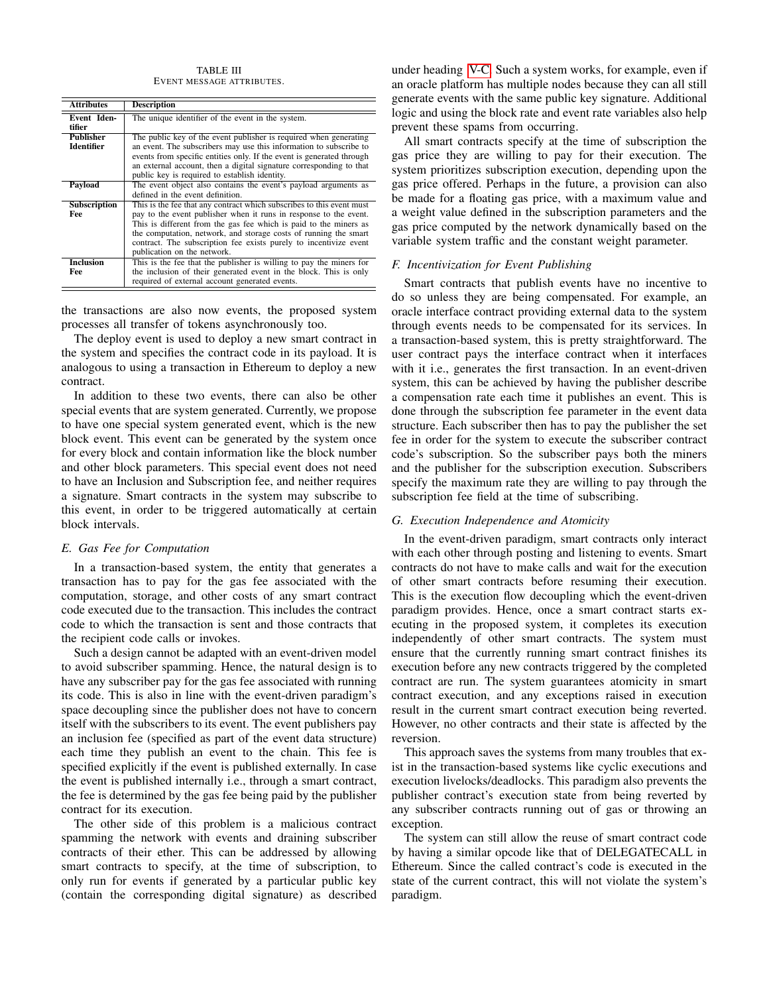TABLE III EVENT MESSAGE ATTRIBUTES.

<span id="page-6-0"></span>

| <b>Attributes</b>   | <b>Description</b>                                                    |  |  |
|---------------------|-----------------------------------------------------------------------|--|--|
| <b>Event Iden-</b>  | The unique identifier of the event in the system.                     |  |  |
| tifier              |                                                                       |  |  |
| <b>Publisher</b>    | The public key of the event publisher is required when generating     |  |  |
| <b>Identifier</b>   | an event. The subscribers may use this information to subscribe to    |  |  |
|                     | events from specific entities only. If the event is generated through |  |  |
|                     | an external account, then a digital signature corresponding to that   |  |  |
|                     | public key is required to establish identity.                         |  |  |
| Payload             | The event object also contains the event's payload arguments as       |  |  |
|                     | defined in the event definition.                                      |  |  |
| <b>Subscription</b> | This is the fee that any contract which subscribes to this event must |  |  |
| Fee                 | pay to the event publisher when it runs in response to the event.     |  |  |
|                     | This is different from the gas fee which is paid to the miners as     |  |  |
|                     | the computation, network, and storage costs of running the smart      |  |  |
|                     | contract. The subscription fee exists purely to incentivize event     |  |  |
|                     | publication on the network.                                           |  |  |
| <b>Inclusion</b>    | This is the fee that the publisher is willing to pay the miners for   |  |  |
| Fee                 | the inclusion of their generated event in the block. This is only     |  |  |
|                     | required of external account generated events.                        |  |  |

the transactions are also now events, the proposed system processes all transfer of tokens asynchronously too.

The deploy event is used to deploy a new smart contract in the system and specifies the contract code in its payload. It is analogous to using a transaction in Ethereum to deploy a new contract.

In addition to these two events, there can also be other special events that are system generated. Currently, we propose to have one special system generated event, which is the new block event. This event can be generated by the system once for every block and contain information like the block number and other block parameters. This special event does not need to have an Inclusion and Subscription fee, and neither requires a signature. Smart contracts in the system may subscribe to this event, in order to be triggered automatically at certain block intervals.

#### *E. Gas Fee for Computation*

In a transaction-based system, the entity that generates a transaction has to pay for the gas fee associated with the computation, storage, and other costs of any smart contract code executed due to the transaction. This includes the contract code to which the transaction is sent and those contracts that the recipient code calls or invokes.

Such a design cannot be adapted with an event-driven model to avoid subscriber spamming. Hence, the natural design is to have any subscriber pay for the gas fee associated with running its code. This is also in line with the event-driven paradigm's space decoupling since the publisher does not have to concern itself with the subscribers to its event. The event publishers pay an inclusion fee (specified as part of the event data structure) each time they publish an event to the chain. This fee is specified explicitly if the event is published externally. In case the event is published internally i.e., through a smart contract, the fee is determined by the gas fee being paid by the publisher contract for its execution.

The other side of this problem is a malicious contract spamming the network with events and draining subscriber contracts of their ether. This can be addressed by allowing smart contracts to specify, at the time of subscription, to only run for events if generated by a particular public key (contain the corresponding digital signature) as described

under heading [V-C.](#page-5-4) Such a system works, for example, even if an oracle platform has multiple nodes because they can all still generate events with the same public key signature. Additional logic and using the block rate and event rate variables also help prevent these spams from occurring.

All smart contracts specify at the time of subscription the gas price they are willing to pay for their execution. The system prioritizes subscription execution, depending upon the gas price offered. Perhaps in the future, a provision can also be made for a floating gas price, with a maximum value and a weight value defined in the subscription parameters and the gas price computed by the network dynamically based on the variable system traffic and the constant weight parameter.

#### *F. Incentivization for Event Publishing*

Smart contracts that publish events have no incentive to do so unless they are being compensated. For example, an oracle interface contract providing external data to the system through events needs to be compensated for its services. In a transaction-based system, this is pretty straightforward. The user contract pays the interface contract when it interfaces with it i.e., generates the first transaction. In an event-driven system, this can be achieved by having the publisher describe a compensation rate each time it publishes an event. This is done through the subscription fee parameter in the event data structure. Each subscriber then has to pay the publisher the set fee in order for the system to execute the subscriber contract code's subscription. So the subscriber pays both the miners and the publisher for the subscription execution. Subscribers specify the maximum rate they are willing to pay through the subscription fee field at the time of subscribing.

#### *G. Execution Independence and Atomicity*

In the event-driven paradigm, smart contracts only interact with each other through posting and listening to events. Smart contracts do not have to make calls and wait for the execution of other smart contracts before resuming their execution. This is the execution flow decoupling which the event-driven paradigm provides. Hence, once a smart contract starts executing in the proposed system, it completes its execution independently of other smart contracts. The system must ensure that the currently running smart contract finishes its execution before any new contracts triggered by the completed contract are run. The system guarantees atomicity in smart contract execution, and any exceptions raised in execution result in the current smart contract execution being reverted. However, no other contracts and their state is affected by the reversion.

This approach saves the systems from many troubles that exist in the transaction-based systems like cyclic executions and execution livelocks/deadlocks. This paradigm also prevents the publisher contract's execution state from being reverted by any subscriber contracts running out of gas or throwing an exception.

The system can still allow the reuse of smart contract code by having a similar opcode like that of DELEGATECALL in Ethereum. Since the called contract's code is executed in the state of the current contract, this will not violate the system's paradigm.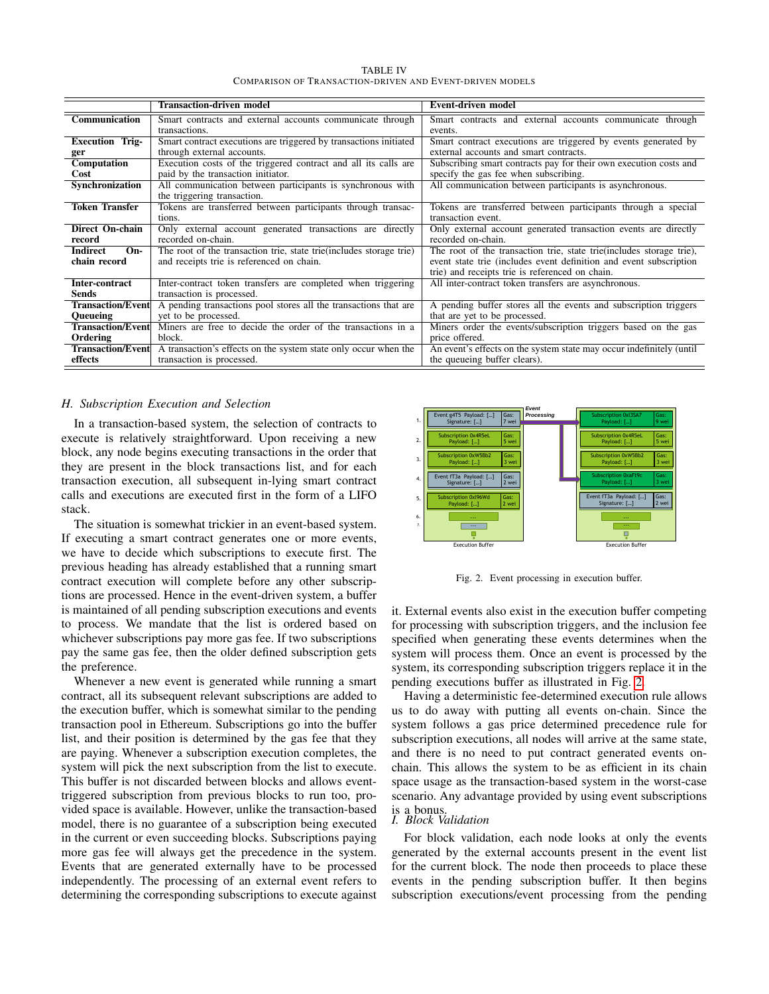| <b>TABLE IV</b>                                          |  |
|----------------------------------------------------------|--|
| Comparison of Transaction-driven and Event-driven models |  |

<span id="page-7-2"></span>

|                          | Transaction-driven model                                             | <b>Event-driven model</b>                                             |  |  |
|--------------------------|----------------------------------------------------------------------|-----------------------------------------------------------------------|--|--|
| Communication            | Smart contracts and external accounts communicate through            | Smart contracts and external accounts communicate through             |  |  |
|                          | transactions.                                                        | events.                                                               |  |  |
| <b>Execution Trig-</b>   | Smart contract executions are triggered by transactions initiated    | Smart contract executions are triggered by events generated by        |  |  |
| ger                      | through external accounts.                                           | external accounts and smart contracts.                                |  |  |
| Computation              | Execution costs of the triggered contract and all its calls are      | Subscribing smart contracts pay for their own execution costs and     |  |  |
| Cost                     | paid by the transaction initiator.                                   | specify the gas fee when subscribing.                                 |  |  |
| Synchronization          | All communication between participants is synchronous with           | All communication between participants is asynchronous.               |  |  |
|                          | the triggering transaction.                                          |                                                                       |  |  |
| Token Transfer           | Tokens are transferred between participants through transac-         | Tokens are transferred between participants through a special         |  |  |
|                          | tions.                                                               | transaction event.                                                    |  |  |
| Direct On-chain          | Only external account generated transactions are directly            | Only external account generated transaction events are directly       |  |  |
| record                   | recorded on-chain.                                                   | recorded on-chain.                                                    |  |  |
| Indirect<br>$On-$        | The root of the transaction trie, state trie (includes storage trie) | The root of the transaction trie, state trie (includes storage trie), |  |  |
| chain record             | and receipts trie is referenced on chain.                            | event state trie (includes event definition and event subscription    |  |  |
|                          |                                                                      | trie) and receipts trie is referenced on chain.                       |  |  |
| Inter-contract           | Inter-contract token transfers are completed when triggering         | All inter-contract token transfers are asynchronous.                  |  |  |
| Sends                    | transaction is processed.                                            |                                                                       |  |  |
| <b>Transaction/Event</b> | A pending transactions pool stores all the transactions that are     | A pending buffer stores all the events and subscription triggers      |  |  |
| <b>Oueueing</b>          | yet to be processed.                                                 | that are yet to be processed.                                         |  |  |
| <b>Transaction/Event</b> | Miners are free to decide the order of the transactions in a         | Miners order the events/subscription triggers based on the gas        |  |  |
| Ordering                 | block.                                                               | price offered.                                                        |  |  |
| <b>Transaction/Event</b> | A transaction's effects on the system state only occur when the      | An event's effects on the system state may occur indefinitely (until  |  |  |
| effects                  | transaction is processed.                                            | the queueing buffer clears).                                          |  |  |

#### <span id="page-7-0"></span>*H. Subscription Execution and Selection*

In a transaction-based system, the selection of contracts to execute is relatively straightforward. Upon receiving a new block, any node begins executing transactions in the order that they are present in the block transactions list, and for each transaction execution, all subsequent in-lying smart contract calls and executions are executed first in the form of a LIFO stack.

The situation is somewhat trickier in an event-based system. If executing a smart contract generates one or more events, we have to decide which subscriptions to execute first. The previous heading has already established that a running smart contract execution will complete before any other subscriptions are processed. Hence in the event-driven system, a buffer is maintained of all pending subscription executions and events to process. We mandate that the list is ordered based on whichever subscriptions pay more gas fee. If two subscriptions pay the same gas fee, then the older defined subscription gets the preference.

Whenever a new event is generated while running a smart contract, all its subsequent relevant subscriptions are added to the execution buffer, which is somewhat similar to the pending transaction pool in Ethereum. Subscriptions go into the buffer list, and their position is determined by the gas fee that they are paying. Whenever a subscription execution completes, the system will pick the next subscription from the list to execute. This buffer is not discarded between blocks and allows eventtriggered subscription from previous blocks to run too, provided space is available. However, unlike the transaction-based model, there is no guarantee of a subscription being executed in the current or even succeeding blocks. Subscriptions paying more gas fee will always get the precedence in the system. Events that are generated externally have to be processed independently. The processing of an external event refers to determining the corresponding subscriptions to execute against



<span id="page-7-1"></span>Fig. 2. Event processing in execution buffer.

it. External events also exist in the execution buffer competing for processing with subscription triggers, and the inclusion fee specified when generating these events determines when the system will process them. Once an event is processed by the system, its corresponding subscription triggers replace it in the pending executions buffer as illustrated in Fig. [2.](#page-7-1)

Having a deterministic fee-determined execution rule allows us to do away with putting all events on-chain. Since the system follows a gas price determined precedence rule for subscription executions, all nodes will arrive at the same state, and there is no need to put contract generated events onchain. This allows the system to be as efficient in its chain space usage as the transaction-based system in the worst-case scenario. Any advantage provided by using event subscriptions

# is a bonus. *I. Block Validation*

For block validation, each node looks at only the events generated by the external accounts present in the event list for the current block. The node then proceeds to place these events in the pending subscription buffer. It then begins subscription executions/event processing from the pending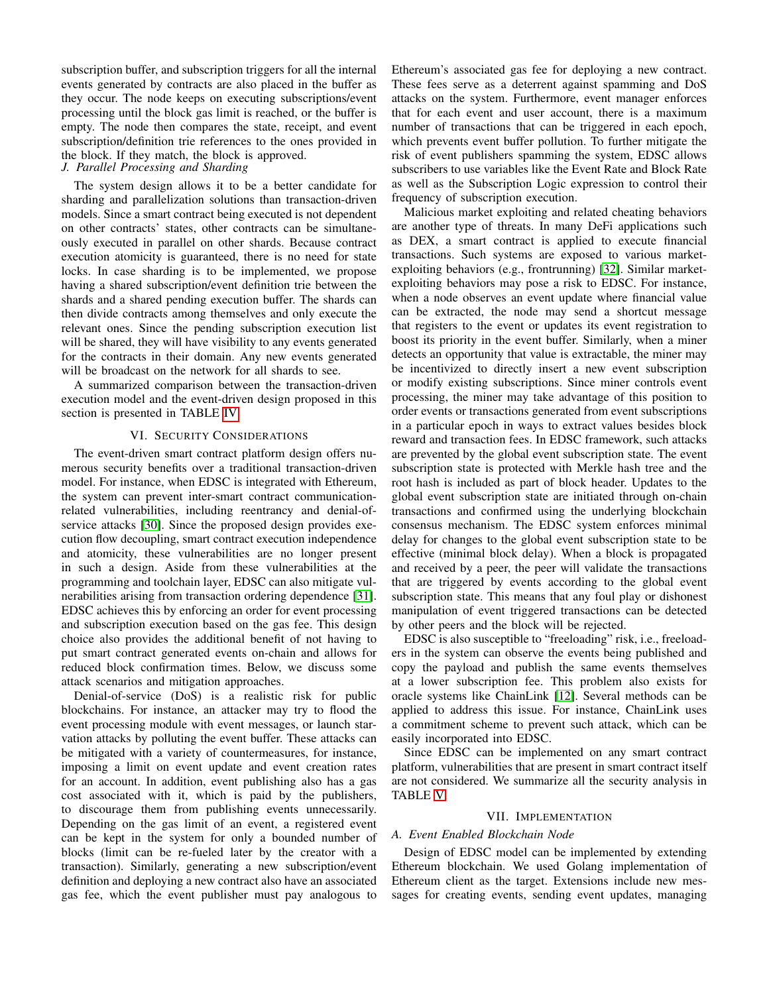subscription buffer, and subscription triggers for all the internal events generated by contracts are also placed in the buffer as they occur. The node keeps on executing subscriptions/event processing until the block gas limit is reached, or the buffer is empty. The node then compares the state, receipt, and event subscription/definition trie references to the ones provided in the block. If they match, the block is approved.

#### *J. Parallel Processing and Sharding*

The system design allows it to be a better candidate for sharding and parallelization solutions than transaction-driven models. Since a smart contract being executed is not dependent on other contracts' states, other contracts can be simultaneously executed in parallel on other shards. Because contract execution atomicity is guaranteed, there is no need for state locks. In case sharding is to be implemented, we propose having a shared subscription/event definition trie between the shards and a shared pending execution buffer. The shards can then divide contracts among themselves and only execute the relevant ones. Since the pending subscription execution list will be shared, they will have visibility to any events generated for the contracts in their domain. Any new events generated will be broadcast on the network for all shards to see.

A summarized comparison between the transaction-driven execution model and the event-driven design proposed in this section is presented in TABLE [IV.](#page-7-2)

#### VI. SECURITY CONSIDERATIONS

The event-driven smart contract platform design offers numerous security benefits over a traditional transaction-driven model. For instance, when EDSC is integrated with Ethereum, the system can prevent inter-smart contract communicationrelated vulnerabilities, including reentrancy and denial-ofservice attacks [\[30\]](#page-12-29). Since the proposed design provides execution flow decoupling, smart contract execution independence and atomicity, these vulnerabilities are no longer present in such a design. Aside from these vulnerabilities at the programming and toolchain layer, EDSC can also mitigate vulnerabilities arising from transaction ordering dependence [\[31\]](#page-12-30). EDSC achieves this by enforcing an order for event processing and subscription execution based on the gas fee. This design choice also provides the additional benefit of not having to put smart contract generated events on-chain and allows for reduced block confirmation times. Below, we discuss some attack scenarios and mitigation approaches.

Denial-of-service (DoS) is a realistic risk for public blockchains. For instance, an attacker may try to flood the event processing module with event messages, or launch starvation attacks by polluting the event buffer. These attacks can be mitigated with a variety of countermeasures, for instance, imposing a limit on event update and event creation rates for an account. In addition, event publishing also has a gas cost associated with it, which is paid by the publishers, to discourage them from publishing events unnecessarily. Depending on the gas limit of an event, a registered event can be kept in the system for only a bounded number of blocks (limit can be re-fueled later by the creator with a transaction). Similarly, generating a new subscription/event definition and deploying a new contract also have an associated gas fee, which the event publisher must pay analogous to

Ethereum's associated gas fee for deploying a new contract. These fees serve as a deterrent against spamming and DoS attacks on the system. Furthermore, event manager enforces that for each event and user account, there is a maximum number of transactions that can be triggered in each epoch, which prevents event buffer pollution. To further mitigate the risk of event publishers spamming the system, EDSC allows subscribers to use variables like the Event Rate and Block Rate as well as the Subscription Logic expression to control their frequency of subscription execution.

Malicious market exploiting and related cheating behaviors are another type of threats. In many DeFi applications such as DEX, a smart contract is applied to execute financial transactions. Such systems are exposed to various marketexploiting behaviors (e.g., frontrunning) [\[32\]](#page-12-31). Similar marketexploiting behaviors may pose a risk to EDSC. For instance, when a node observes an event update where financial value can be extracted, the node may send a shortcut message that registers to the event or updates its event registration to boost its priority in the event buffer. Similarly, when a miner detects an opportunity that value is extractable, the miner may be incentivized to directly insert a new event subscription or modify existing subscriptions. Since miner controls event processing, the miner may take advantage of this position to order events or transactions generated from event subscriptions in a particular epoch in ways to extract values besides block reward and transaction fees. In EDSC framework, such attacks are prevented by the global event subscription state. The event subscription state is protected with Merkle hash tree and the root hash is included as part of block header. Updates to the global event subscription state are initiated through on-chain transactions and confirmed using the underlying blockchain consensus mechanism. The EDSC system enforces minimal delay for changes to the global event subscription state to be effective (minimal block delay). When a block is propagated and received by a peer, the peer will validate the transactions that are triggered by events according to the global event subscription state. This means that any foul play or dishonest manipulation of event triggered transactions can be detected by other peers and the block will be rejected.

EDSC is also susceptible to "freeloading" risk, i.e., freeloaders in the system can observe the events being published and copy the payload and publish the same events themselves at a lower subscription fee. This problem also exists for oracle systems like ChainLink [\[12\]](#page-12-11). Several methods can be applied to address this issue. For instance, ChainLink uses a commitment scheme to prevent such attack, which can be easily incorporated into EDSC.

Since EDSC can be implemented on any smart contract platform, vulnerabilities that are present in smart contract itself are not considered. We summarize all the security analysis in TABLE [V.](#page-9-0)

#### VII. IMPLEMENTATION

#### *A. Event Enabled Blockchain Node*

Design of EDSC model can be implemented by extending Ethereum blockchain. We used Golang implementation of Ethereum client as the target. Extensions include new messages for creating events, sending event updates, managing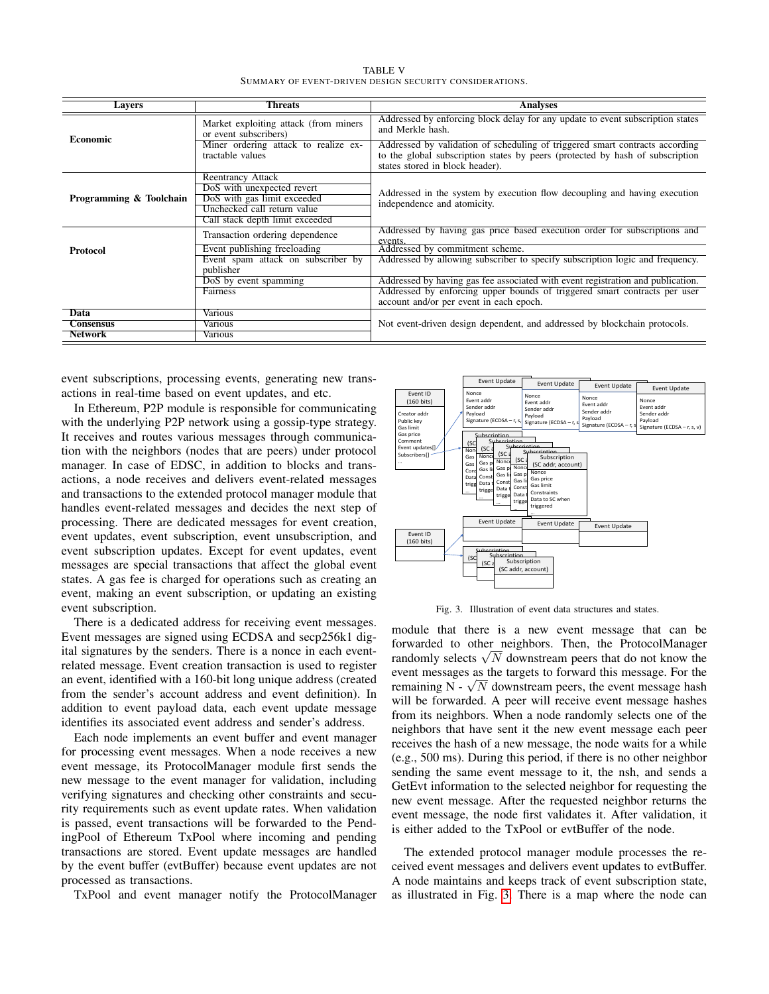TABLE V SUMMARY OF EVENT-DRIVEN DESIGN SECURITY CONSIDERATIONS.

<span id="page-9-0"></span>

| <b>Threats</b><br><b>Analyses</b><br><b>Layers</b> |                                                                                                                                                         |                                                                                                                                                                                                  |  |
|----------------------------------------------------|---------------------------------------------------------------------------------------------------------------------------------------------------------|--------------------------------------------------------------------------------------------------------------------------------------------------------------------------------------------------|--|
| <b>Economic</b>                                    | Market exploiting attack (from miners)<br>or event subscribers)                                                                                         | Addressed by enforcing block delay for any update to event subscription states<br>and Merkle hash.                                                                                               |  |
|                                                    | Miner ordering attack to realize ex-<br>tractable values                                                                                                | Addressed by validation of scheduling of triggered smart contracts according<br>to the global subscription states by peers (protected by hash of subscription<br>states stored in block header). |  |
| Programming & Toolchain                            | <b>Reentrancy Attack</b><br>DoS with unexpected revert<br>DoS with gas limit exceeded<br>Unchecked call return value<br>Call stack depth limit exceeded | Addressed in the system by execution flow decoupling and having execution<br>independence and atomicity.                                                                                         |  |
|                                                    | Transaction ordering dependence                                                                                                                         | Addressed by having gas price based execution order for subscriptions and<br>events.                                                                                                             |  |
| <b>Protocol</b>                                    | Event publishing freeloading                                                                                                                            | Addressed by commitment scheme.                                                                                                                                                                  |  |
|                                                    | Event spam attack on subscriber by<br>publisher                                                                                                         | Addressed by allowing subscriber to specify subscription logic and frequency.                                                                                                                    |  |
|                                                    | DoS by event spamming                                                                                                                                   | Addressed by having gas fee associated with event registration and publication.                                                                                                                  |  |
|                                                    | Fairness                                                                                                                                                | Addressed by enforcing upper bounds of triggered smart contracts per user<br>account and/or per event in each epoch.                                                                             |  |
| Data                                               | Various                                                                                                                                                 |                                                                                                                                                                                                  |  |
| <b>Consensus</b>                                   | Various                                                                                                                                                 | Not event-driven design dependent, and addressed by blockchain protocols.                                                                                                                        |  |
| <b>Network</b>                                     | Various                                                                                                                                                 |                                                                                                                                                                                                  |  |

event subscriptions, processing events, generating new transactions in real-time based on event updates, and etc.

In Ethereum, P2P module is responsible for communicating with the underlying P2P network using a gossip-type strategy. It receives and routes various messages through communication with the neighbors (nodes that are peers) under protocol manager. In case of EDSC, in addition to blocks and transactions, a node receives and delivers event-related messages and transactions to the extended protocol manager module that handles event-related messages and decides the next step of processing. There are dedicated messages for event creation, event updates, event subscription, event unsubscription, and event subscription updates. Except for event updates, event messages are special transactions that affect the global event states. A gas fee is charged for operations such as creating an event, making an event subscription, or updating an existing event subscription.

There is a dedicated address for receiving event messages. Event messages are signed using ECDSA and secp256k1 digital signatures by the senders. There is a nonce in each eventrelated message. Event creation transaction is used to register an event, identified with a 160-bit long unique address (created from the sender's account address and event definition). In addition to event payload data, each event update message identifies its associated event address and sender's address.

Each node implements an event buffer and event manager for processing event messages. When a node receives a new event message, its ProtocolManager module first sends the new message to the event manager for validation, including verifying signatures and checking other constraints and security requirements such as event update rates. When validation is passed, event transactions will be forwarded to the PendingPool of Ethereum TxPool where incoming and pending transactions are stored. Event update messages are handled by the event buffer (evtBuffer) because event updates are not processed as transactions.

TxPool and event manager notify the ProtocolManager



<span id="page-9-1"></span>Fig. 3. Illustration of event data structures and states.

module that there is a new event message that can be forwarded to other neighbors. Then, the ProtocolManager forwarded to other neighbors. Then, the ProtocolManager randomly selects  $\sqrt{N}$  downstream peers that do not know the event messages as the targets to forward this message. For the event messages as the targets to forward this message. For the remaining  $N - \sqrt{N}$  downstream peers, the event message hash will be forwarded. A peer will receive event message hashes from its neighbors. When a node randomly selects one of the neighbors that have sent it the new event message each peer receives the hash of a new message, the node waits for a while (e.g., 500 ms). During this period, if there is no other neighbor sending the same event message to it, the nsh, and sends a GetEvt information to the selected neighbor for requesting the new event message. After the requested neighbor returns the event message, the node first validates it. After validation, it is either added to the TxPool or evtBuffer of the node.

The extended protocol manager module processes the received event messages and delivers event updates to evtBuffer. A node maintains and keeps track of event subscription state, as illustrated in Fig. [3.](#page-9-1) There is a map where the node can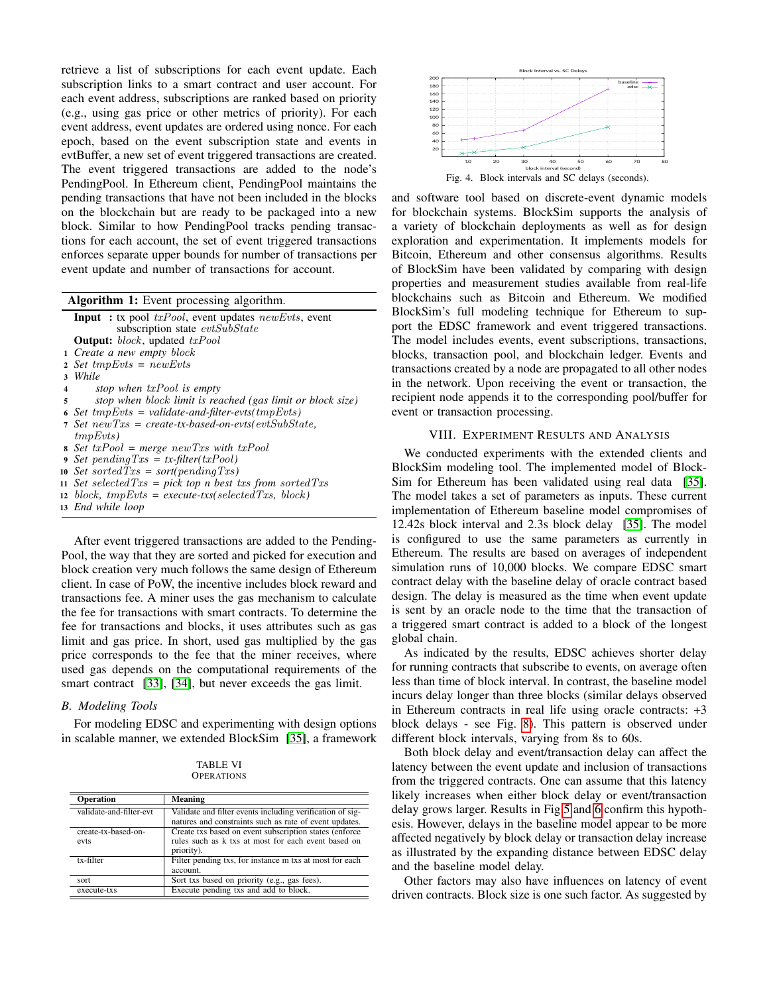retrieve a list of subscriptions for each event update. Each subscription links to a smart contract and user account. For each event address, subscriptions are ranked based on priority (e.g., using gas price or other metrics of priority). For each event address, event updates are ordered using nonce. For each epoch, based on the event subscription state and events in evtBuffer, a new set of event triggered transactions are created. The event triggered transactions are added to the node's PendingPool. In Ethereum client, PendingPool maintains the pending transactions that have not been included in the blocks on the blockchain but are ready to be packaged into a new block. Similar to how PendingPool tracks pending transactions for each account, the set of event triggered transactions enforces separate upper bounds for number of transactions per event update and number of transactions for account.

| <b>Algorithm 1:</b> Event processing algorithm. |  |  |  |  |
|-------------------------------------------------|--|--|--|--|
|-------------------------------------------------|--|--|--|--|

|              | <b>Input</b> : tx pool $txPool$ , event updates $newEvts$ , event |
|--------------|-------------------------------------------------------------------|
|              | subscription state evtSubState                                    |
|              | <b>Output:</b> $block$ , updated $txPool$                         |
|              | 1 Create a new empty block                                        |
|              | 2 Set $tmpEvts = newEvts$                                         |
| $\mathbf{3}$ | While                                                             |
| 4            | stop when $txPool$ is empty                                       |
| 5            | stop when block limit is reached (gas limit or block size)        |
|              | 6 Set $tmpEvts = validate-and-filter-evts(tmpEvts)$               |
|              | 7 Set $newTxs = create-tx-based-on-evts(evtSubState,$             |
|              | tmpEvts)                                                          |
|              | s Set $txPool = merge newTxs$ with $txPool$                       |
|              | 9 Set pending $Txs = tx\text{-filter}(txPool)$                    |
|              | 10 Set sorted $Txs = sort(pending Txs)$                           |
|              | 11 Set selected $Txs = pick top n best txs from sorted Txs$       |
|              | 12 block, $tmpEvts = execute-txs(selectedTxs, block)$             |
|              | 13 End while loop                                                 |
|              |                                                                   |

After event triggered transactions are added to the Pending-Pool, the way that they are sorted and picked for execution and block creation very much follows the same design of Ethereum client. In case of PoW, the incentive includes block reward and transactions fee. A miner uses the gas mechanism to calculate the fee for transactions with smart contracts. To determine the fee for transactions and blocks, it uses attributes such as gas limit and gas price. In short, used gas multiplied by the gas price corresponds to the fee that the miner receives, where used gas depends on the computational requirements of the smart contract [\[33\]](#page-12-32), [\[34\]](#page-12-33), but never exceeds the gas limit.

#### *B. Modeling Tools*

For modeling EDSC and experimenting with design options in scalable manner, we extended BlockSim [\[35\]](#page-12-34), a framework

TABLE VI **OPERATIONS** 

| <b>Operation</b>            | <b>Meaning</b>                                                                                                               |
|-----------------------------|------------------------------------------------------------------------------------------------------------------------------|
| validate-and-filter-evt     | Validate and filter events including verification of sig-<br>natures and constraints such as rate of event updates.          |
| create-tx-based-on-<br>evts | Create txs based on event subscription states (enforce)<br>rules such as k txs at most for each event based on<br>priority). |
| $tx$ -filter                | Filter pending txs, for instance m txs at most for each<br>account.                                                          |
| sort                        | Sort txs based on priority (e.g., gas fees).                                                                                 |
| execute-txs                 | Execute pending txs and add to block.                                                                                        |



and software tool based on discrete-event dynamic models for blockchain systems. BlockSim supports the analysis of a variety of blockchain deployments as well as for design exploration and experimentation. It implements models for Bitcoin, Ethereum and other consensus algorithms. Results of BlockSim have been validated by comparing with design properties and measurement studies available from real-life blockchains such as Bitcoin and Ethereum. We modified BlockSim's full modeling technique for Ethereum to support the EDSC framework and event triggered transactions. The model includes events, event subscriptions, transactions, blocks, transaction pool, and blockchain ledger. Events and transactions created by a node are propagated to all other nodes in the network. Upon receiving the event or transaction, the recipient node appends it to the corresponding pool/buffer for event or transaction processing.

#### VIII. EXPERIMENT RESULTS AND ANALYSIS

We conducted experiments with the extended clients and BlockSim modeling tool. The implemented model of Block-Sim for Ethereum has been validated using real data [\[35\]](#page-12-34). The model takes a set of parameters as inputs. These current implementation of Ethereum baseline model compromises of 12.42s block interval and 2.3s block delay [\[35\]](#page-12-34). The model is configured to use the same parameters as currently in Ethereum. The results are based on averages of independent simulation runs of 10,000 blocks. We compare EDSC smart contract delay with the baseline delay of oracle contract based design. The delay is measured as the time when event update is sent by an oracle node to the time that the transaction of a triggered smart contract is added to a block of the longest global chain.

As indicated by the results, EDSC achieves shorter delay for running contracts that subscribe to events, on average often less than time of block interval. In contrast, the baseline model incurs delay longer than three blocks (similar delays observed in Ethereum contracts in real life using oracle contracts:  $+3$ block delays - see Fig. [8\)](#page-11-0). This pattern is observed under different block intervals, varying from 8s to 60s.

Both block delay and event/transaction delay can affect the latency between the event update and inclusion of transactions from the triggered contracts. One can assume that this latency likely increases when either block delay or event/transaction delay grows larger. Results in Fig[.5](#page-11-1) and [6](#page-11-2) confirm this hypothesis. However, delays in the baseline model appear to be more affected negatively by block delay or transaction delay increase as illustrated by the expanding distance between EDSC delay and the baseline model delay.

Other factors may also have influences on latency of event driven contracts. Block size is one such factor. As suggested by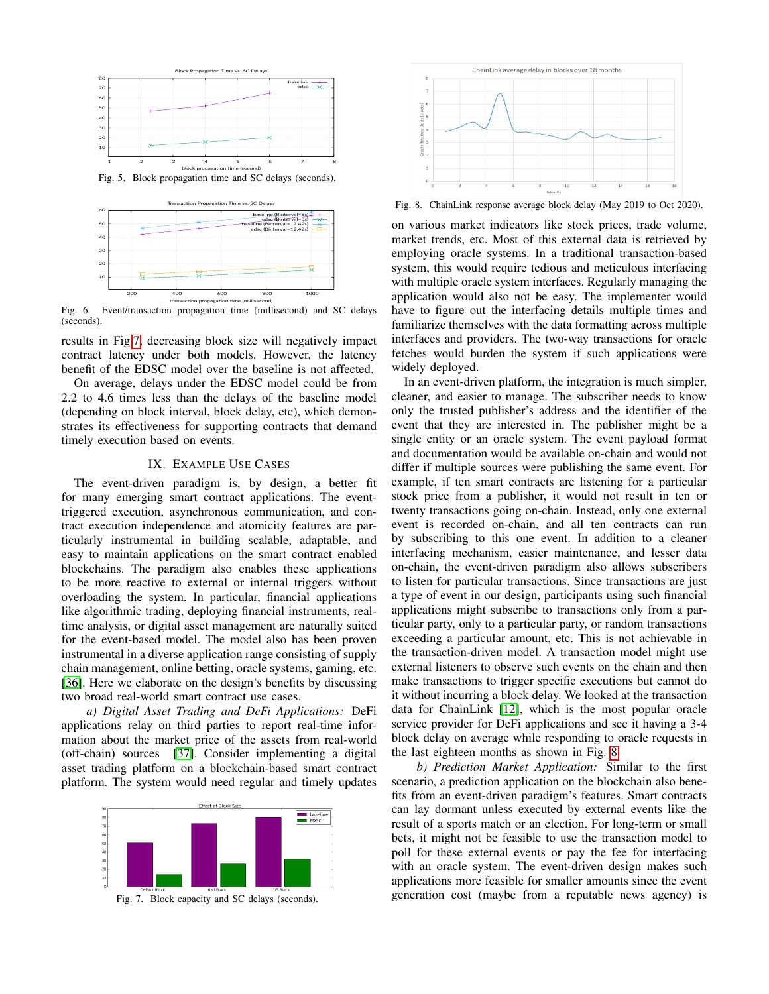

<span id="page-11-1"></span>

<span id="page-11-2"></span>Fig. 6. Event/transaction propagation time (millisecond) and SC delays (seconds).

results in Fig[.7,](#page-11-3) decreasing block size will negatively impact contract latency under both models. However, the latency benefit of the EDSC model over the baseline is not affected.

On average, delays under the EDSC model could be from 2.2 to 4.6 times less than the delays of the baseline model (depending on block interval, block delay, etc), which demonstrates its effectiveness for supporting contracts that demand timely execution based on events.

#### IX. EXAMPLE USE CASES

The event-driven paradigm is, by design, a better fit for many emerging smart contract applications. The eventtriggered execution, asynchronous communication, and contract execution independence and atomicity features are particularly instrumental in building scalable, adaptable, and easy to maintain applications on the smart contract enabled blockchains. The paradigm also enables these applications to be more reactive to external or internal triggers without overloading the system. In particular, financial applications like algorithmic trading, deploying financial instruments, realtime analysis, or digital asset management are naturally suited for the event-based model. The model also has been proven instrumental in a diverse application range consisting of supply chain management, online betting, oracle systems, gaming, etc. [\[36\]](#page-12-35). Here we elaborate on the design's benefits by discussing two broad real-world smart contract use cases.

*a) Digital Asset Trading and DeFi Applications:* DeFi applications relay on third parties to report real-time information about the market price of the assets from real-world (off-chain) sources [\[37\]](#page-12-36). Consider implementing a digital asset trading platform on a blockchain-based smart contract platform. The system would need regular and timely updates



<span id="page-11-3"></span>Fig. 7. Block capacity and SC delays (seconds).



<span id="page-11-0"></span>Fig. 8. ChainLink response average block delay (May 2019 to Oct 2020).

on various market indicators like stock prices, trade volume, market trends, etc. Most of this external data is retrieved by employing oracle systems. In a traditional transaction-based system, this would require tedious and meticulous interfacing with multiple oracle system interfaces. Regularly managing the application would also not be easy. The implementer would have to figure out the interfacing details multiple times and familiarize themselves with the data formatting across multiple interfaces and providers. The two-way transactions for oracle fetches would burden the system if such applications were widely deployed.

In an event-driven platform, the integration is much simpler, cleaner, and easier to manage. The subscriber needs to know only the trusted publisher's address and the identifier of the event that they are interested in. The publisher might be a single entity or an oracle system. The event payload format and documentation would be available on-chain and would not differ if multiple sources were publishing the same event. For example, if ten smart contracts are listening for a particular stock price from a publisher, it would not result in ten or twenty transactions going on-chain. Instead, only one external event is recorded on-chain, and all ten contracts can run by subscribing to this one event. In addition to a cleaner interfacing mechanism, easier maintenance, and lesser data on-chain, the event-driven paradigm also allows subscribers to listen for particular transactions. Since transactions are just a type of event in our design, participants using such financial applications might subscribe to transactions only from a particular party, only to a particular party, or random transactions exceeding a particular amount, etc. This is not achievable in the transaction-driven model. A transaction model might use external listeners to observe such events on the chain and then make transactions to trigger specific executions but cannot do it without incurring a block delay. We looked at the transaction data for ChainLink [\[12\]](#page-12-11), which is the most popular oracle service provider for DeFi applications and see it having a 3-4 block delay on average while responding to oracle requests in the last eighteen months as shown in Fig. [8.](#page-11-0)

*b) Prediction Market Application:* Similar to the first scenario, a prediction application on the blockchain also benefits from an event-driven paradigm's features. Smart contracts can lay dormant unless executed by external events like the result of a sports match or an election. For long-term or small bets, it might not be feasible to use the transaction model to poll for these external events or pay the fee for interfacing with an oracle system. The event-driven design makes such applications more feasible for smaller amounts since the event generation cost (maybe from a reputable news agency) is